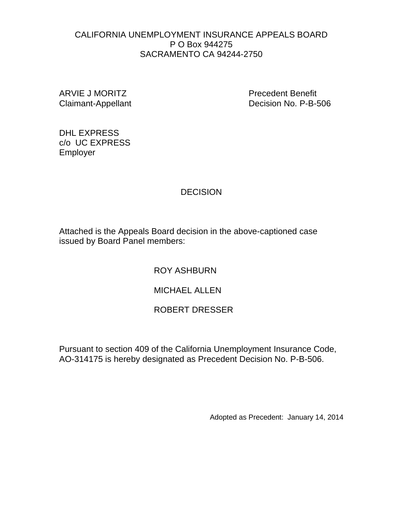#### CALIFORNIA UNEMPLOYMENT INSURANCE APPEALS BOARD P O Box 944275 SACRAMENTO CA 94244-2750

ARVIE J MORITZ Precedent Benefit

Claimant-Appellant Decision No. P-B-506

DHL EXPRESS c/o UC EXPRESS Employer

### **DECISION**

Attached is the Appeals Board decision in the above-captioned case issued by Board Panel members:

ROY ASHBURN

MICHAEL ALLEN

# ROBERT DRESSER

Pursuant to section 409 of the California Unemployment Insurance Code, AO-314175 is hereby designated as Precedent Decision No. P-B-506.

Adopted as Precedent: January 14, 2014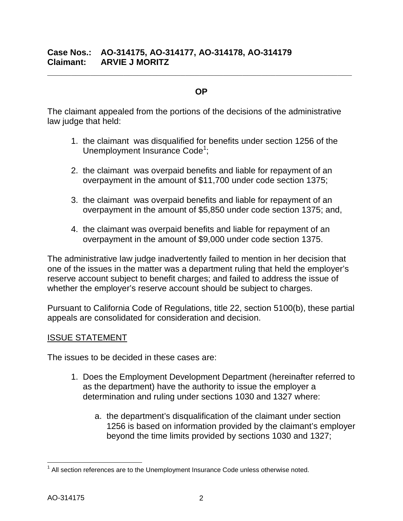### **Case Nos.: AO-314175, AO-314177, AO-314178, AO-314179 Claimant: ARVIE J MORITZ**

#### **OP**

**\_\_\_\_\_\_\_\_\_\_\_\_\_\_\_\_\_\_\_\_\_\_\_\_\_\_\_\_\_\_\_\_\_\_\_\_\_\_\_\_\_\_\_\_\_\_\_\_\_\_\_\_\_\_\_\_\_\_\_\_\_\_\_\_**

The claimant appealed from the portions of the decisions of the administrative law judge that held:

- 1. the claimant was disqualified for benefits under section 1256 of the Unemployment Insurance Code<sup>1</sup>;
- 2. the claimant was overpaid benefits and liable for repayment of an overpayment in the amount of \$11,700 under code section 1375;
- 3. the claimant was overpaid benefits and liable for repayment of an overpayment in the amount of \$5,850 under code section 1375; and,
- 4. the claimant was overpaid benefits and liable for repayment of an overpayment in the amount of \$9,000 under code section 1375.

The administrative law judge inadvertently failed to mention in her decision that one of the issues in the matter was a department ruling that held the employer's reserve account subject to benefit charges; and failed to address the issue of whether the employer's reserve account should be subject to charges.

Pursuant to California Code of Regulations, title 22, section 5100(b), these partial appeals are consolidated for consideration and decision.

#### ISSUE STATEMENT

The issues to be decided in these cases are:

- 1. Does the Employment Development Department (hereinafter referred to as the department) have the authority to issue the employer a determination and ruling under sections 1030 and 1327 where:
	- a. the department's disqualification of the claimant under section 1256 is based on information provided by the claimant's employer beyond the time limits provided by sections 1030 and 1327;

 $<sup>1</sup>$  All section references are to the Unemployment Insurance Code unless otherwise noted.</sup>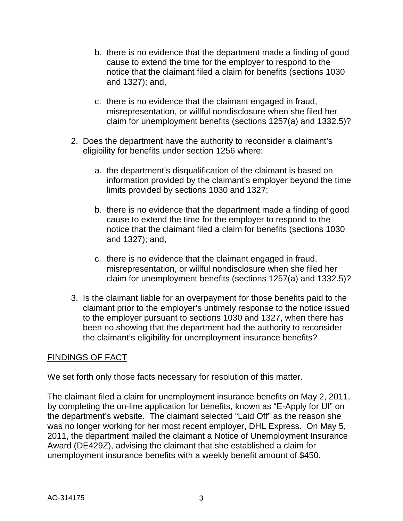- b. there is no evidence that the department made a finding of good cause to extend the time for the employer to respond to the notice that the claimant filed a claim for benefits (sections 1030 and 1327); and,
- c. there is no evidence that the claimant engaged in fraud, misrepresentation, or willful nondisclosure when she filed her claim for unemployment benefits (sections 1257(a) and 1332.5)?
- 2. Does the department have the authority to reconsider a claimant's eligibility for benefits under section 1256 where:
	- a. the department's disqualification of the claimant is based on information provided by the claimant's employer beyond the time limits provided by sections 1030 and 1327;
	- b. there is no evidence that the department made a finding of good cause to extend the time for the employer to respond to the notice that the claimant filed a claim for benefits (sections 1030 and 1327); and,
	- c. there is no evidence that the claimant engaged in fraud, misrepresentation, or willful nondisclosure when she filed her claim for unemployment benefits (sections 1257(a) and 1332.5)?
- 3. Is the claimant liable for an overpayment for those benefits paid to the claimant prior to the employer's untimely response to the notice issued to the employer pursuant to sections 1030 and 1327, when there has been no showing that the department had the authority to reconsider the claimant's eligibility for unemployment insurance benefits?

### FINDINGS OF FACT

We set forth only those facts necessary for resolution of this matter.

The claimant filed a claim for unemployment insurance benefits on May 2, 2011, by completing the on-line application for benefits, known as "E-Apply for UI" on the department's website. The claimant selected "Laid Off" as the reason she was no longer working for her most recent employer, DHL Express. On May 5, 2011, the department mailed the claimant a Notice of Unemployment Insurance Award (DE429Z), advising the claimant that she established a claim for unemployment insurance benefits with a weekly benefit amount of \$450.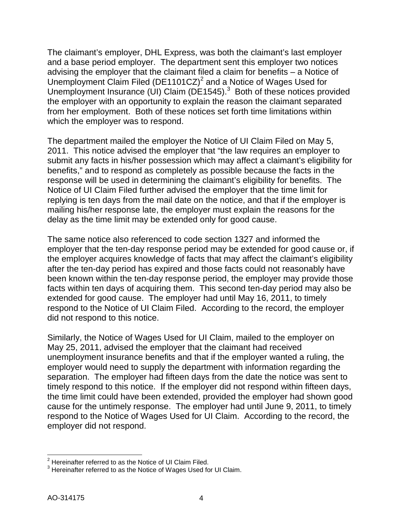The claimant's employer, DHL Express, was both the claimant's last employer and a base period employer. The department sent this employer two notices advising the employer that the claimant filed a claim for benefits – a Notice of Unemployment Claim Filed (DE1101CZ)<sup>2</sup> and a Notice of Wages Used for Unemployment Insurance (UI) Claim ( $DE1545$ ).<sup>3</sup> Both of these notices provided the employer with an opportunity to explain the reason the claimant separated from her employment. Both of these notices set forth time limitations within which the employer was to respond.

The department mailed the employer the Notice of UI Claim Filed on May 5, 2011. This notice advised the employer that "the law requires an employer to submit any facts in his/her possession which may affect a claimant's eligibility for benefits," and to respond as completely as possible because the facts in the response will be used in determining the claimant's eligibility for benefits. The Notice of UI Claim Filed further advised the employer that the time limit for replying is ten days from the mail date on the notice, and that if the employer is mailing his/her response late, the employer must explain the reasons for the delay as the time limit may be extended only for good cause.

The same notice also referenced to code section 1327 and informed the employer that the ten-day response period may be extended for good cause or, if the employer acquires knowledge of facts that may affect the claimant's eligibility after the ten-day period has expired and those facts could not reasonably have been known within the ten-day response period, the employer may provide those facts within ten days of acquiring them. This second ten-day period may also be extended for good cause. The employer had until May 16, 2011, to timely respond to the Notice of UI Claim Filed. According to the record, the employer did not respond to this notice.

Similarly, the Notice of Wages Used for UI Claim, mailed to the employer on May 25, 2011, advised the employer that the claimant had received unemployment insurance benefits and that if the employer wanted a ruling, the employer would need to supply the department with information regarding the separation. The employer had fifteen days from the date the notice was sent to timely respond to this notice. If the employer did not respond within fifteen days, the time limit could have been extended, provided the employer had shown good cause for the untimely response. The employer had until June 9, 2011, to timely respond to the Notice of Wages Used for UI Claim. According to the record, the employer did not respond.

 $2$  Hereinafter referred to as the Notice of UI Claim Filed.<br> $3$  Hereinafter referred to as the Notice of Wages Used for UI Claim.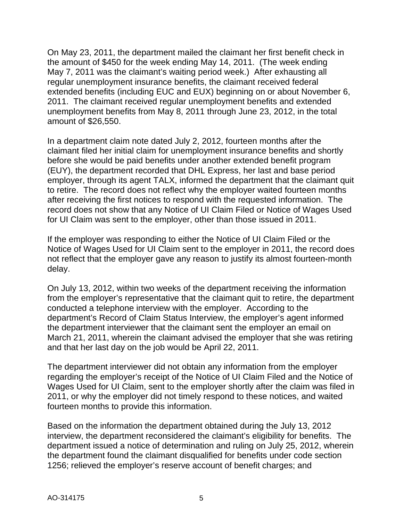On May 23, 2011, the department mailed the claimant her first benefit check in the amount of \$450 for the week ending May 14, 2011. (The week ending May 7, 2011 was the claimant's waiting period week.) After exhausting all regular unemployment insurance benefits, the claimant received federal extended benefits (including EUC and EUX) beginning on or about November 6, 2011. The claimant received regular unemployment benefits and extended unemployment benefits from May 8, 2011 through June 23, 2012, in the total amount of \$26,550.

In a department claim note dated July 2, 2012, fourteen months after the claimant filed her initial claim for unemployment insurance benefits and shortly before she would be paid benefits under another extended benefit program (EUY), the department recorded that DHL Express, her last and base period employer, through its agent TALX, informed the department that the claimant quit to retire. The record does not reflect why the employer waited fourteen months after receiving the first notices to respond with the requested information. The record does not show that any Notice of UI Claim Filed or Notice of Wages Used for UI Claim was sent to the employer, other than those issued in 2011.

If the employer was responding to either the Notice of UI Claim Filed or the Notice of Wages Used for UI Claim sent to the employer in 2011, the record does not reflect that the employer gave any reason to justify its almost fourteen-month delay.

On July 13, 2012, within two weeks of the department receiving the information from the employer's representative that the claimant quit to retire, the department conducted a telephone interview with the employer. According to the department's Record of Claim Status Interview, the employer's agent informed the department interviewer that the claimant sent the employer an email on March 21, 2011, wherein the claimant advised the employer that she was retiring and that her last day on the job would be April 22, 2011.

The department interviewer did not obtain any information from the employer regarding the employer's receipt of the Notice of UI Claim Filed and the Notice of Wages Used for UI Claim, sent to the employer shortly after the claim was filed in 2011, or why the employer did not timely respond to these notices, and waited fourteen months to provide this information.

Based on the information the department obtained during the July 13, 2012 interview, the department reconsidered the claimant's eligibility for benefits. The department issued a notice of determination and ruling on July 25, 2012, wherein the department found the claimant disqualified for benefits under code section 1256; relieved the employer's reserve account of benefit charges; and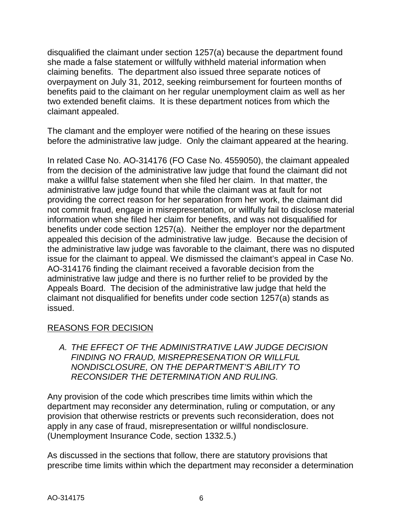disqualified the claimant under section 1257(a) because the department found she made a false statement or willfully withheld material information when claiming benefits. The department also issued three separate notices of overpayment on July 31, 2012, seeking reimbursement for fourteen months of benefits paid to the claimant on her regular unemployment claim as well as her two extended benefit claims. It is these department notices from which the claimant appealed.

The clamant and the employer were notified of the hearing on these issues before the administrative law judge. Only the claimant appeared at the hearing.

In related Case No. AO-314176 (FO Case No. 4559050), the claimant appealed from the decision of the administrative law judge that found the claimant did not make a willful false statement when she filed her claim. In that matter, the administrative law judge found that while the claimant was at fault for not providing the correct reason for her separation from her work, the claimant did not commit fraud, engage in misrepresentation, or willfully fail to disclose material information when she filed her claim for benefits, and was not disqualified for benefits under code section 1257(a). Neither the employer nor the department appealed this decision of the administrative law judge. Because the decision of the administrative law judge was favorable to the claimant, there was no disputed issue for the claimant to appeal. We dismissed the claimant's appeal in Case No. AO-314176 finding the claimant received a favorable decision from the administrative law judge and there is no further relief to be provided by the Appeals Board. The decision of the administrative law judge that held the claimant not disqualified for benefits under code section 1257(a) stands as issued.

### REASONS FOR DECISION

*A. THE EFFECT OF THE ADMINISTRATIVE LAW JUDGE DECISION FINDING NO FRAUD, MISREPRESENATION OR WILLFUL NONDISCLOSURE, ON THE DEPARTMENT'S ABILITY TO RECONSIDER THE DETERMINATION AND RULING.*

Any provision of the code which prescribes time limits within which the department may reconsider any determination, ruling or computation, or any provision that otherwise restricts or prevents such reconsideration, does not apply in any case of fraud, misrepresentation or willful nondisclosure. (Unemployment Insurance Code, section 1332.5.)

As discussed in the sections that follow, there are statutory provisions that prescribe time limits within which the department may reconsider a determination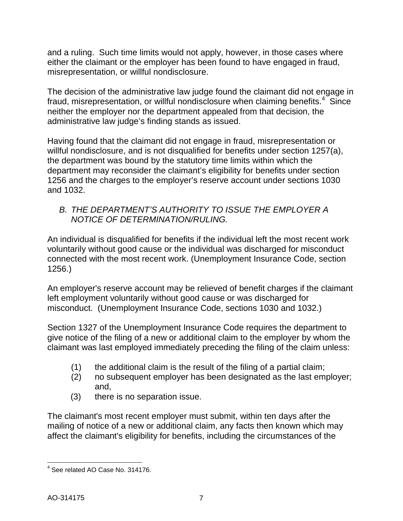and a ruling. Such time limits would not apply, however, in those cases where either the claimant or the employer has been found to have engaged in fraud, misrepresentation, or willful nondisclosure.

The decision of the administrative law judge found the claimant did not engage in fraud, misrepresentation, or willful nondisclosure when claiming benefits.<sup>4</sup> Since neither the employer nor the department appealed from that decision, the administrative law judge's finding stands as issued.

Having found that the claimant did not engage in fraud, misrepresentation or willful nondisclosure, and is not disqualified for benefits under section 1257(a), the department was bound by the statutory time limits within which the department may reconsider the claimant's eligibility for benefits under section 1256 and the charges to the employer's reserve account under sections 1030 and 1032.

### *B. THE DEPARTMENT'S AUTHORITY TO ISSUE THE EMPLOYER A NOTICE OF DETERMINATION/RULING.*

An individual is disqualified for benefits if the individual left the most recent work voluntarily without good cause or the individual was discharged for misconduct connected with the most recent work. (Unemployment Insurance Code, section 1256.)

An employer's reserve account may be relieved of benefit charges if the claimant left employment voluntarily without good cause or was discharged for misconduct. (Unemployment Insurance Code, sections 1030 and 1032.)

Section 1327 of the Unemployment Insurance Code requires the department to give notice of the filing of a new or additional claim to the employer by whom the claimant was last employed immediately preceding the filing of the claim unless:

- (1) the additional claim is the result of the filing of a partial claim;
- (2) no subsequent employer has been designated as the last employer; and,
- (3) there is no separation issue.

The claimant's most recent employer must submit, within ten days after the mailing of notice of a new or additional claim, any facts then known which may affect the claimant's eligibility for benefits, including the circumstances of the

 $4$  See related AO Case No. 314176.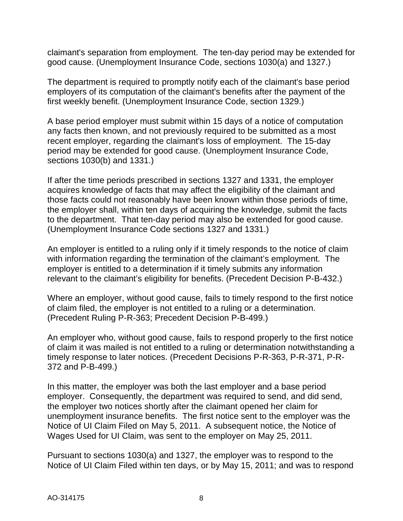claimant's separation from employment. The ten-day period may be extended for good cause. (Unemployment Insurance Code, sections 1030(a) and 1327.)

The department is required to promptly notify each of the claimant's base period employers of its computation of the claimant's benefits after the payment of the first weekly benefit. (Unemployment Insurance Code, section 1329.)

A base period employer must submit within 15 days of a notice of computation any facts then known, and not previously required to be submitted as a most recent employer, regarding the claimant's loss of employment. The 15-day period may be extended for good cause. (Unemployment Insurance Code, sections 1030(b) and 1331.)

If after the time periods prescribed in sections 1327 and 1331, the employer acquires knowledge of facts that may affect the eligibility of the claimant and those facts could not reasonably have been known within those periods of time, the employer shall, within ten days of acquiring the knowledge, submit the facts to the department. That ten-day period may also be extended for good cause. (Unemployment Insurance Code sections 1327 and 1331.)

An employer is entitled to a ruling only if it timely responds to the notice of claim with information regarding the termination of the claimant's employment. The employer is entitled to a determination if it timely submits any information relevant to the claimant's eligibility for benefits. (Precedent Decision P-B-432.)

Where an employer, without good cause, fails to timely respond to the first notice of claim filed, the employer is not entitled to a ruling or a determination. (Precedent Ruling P-R-363; Precedent Decision P-B-499.)

An employer who, without good cause, fails to respond properly to the first notice of claim it was mailed is not entitled to a ruling or determination notwithstanding a timely response to later notices. (Precedent Decisions P-R-363, P-R-371, P-R-372 and P-B-499.)

In this matter, the employer was both the last employer and a base period employer. Consequently, the department was required to send, and did send, the employer two notices shortly after the claimant opened her claim for unemployment insurance benefits. The first notice sent to the employer was the Notice of UI Claim Filed on May 5, 2011. A subsequent notice, the Notice of Wages Used for UI Claim, was sent to the employer on May 25, 2011.

Pursuant to sections 1030(a) and 1327, the employer was to respond to the Notice of UI Claim Filed within ten days, or by May 15, 2011; and was to respond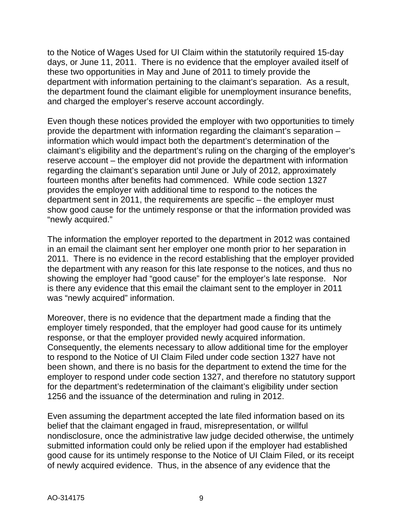to the Notice of Wages Used for UI Claim within the statutorily required 15-day days, or June 11, 2011. There is no evidence that the employer availed itself of these two opportunities in May and June of 2011 to timely provide the department with information pertaining to the claimant's separation. As a result, the department found the claimant eligible for unemployment insurance benefits, and charged the employer's reserve account accordingly.

Even though these notices provided the employer with two opportunities to timely provide the department with information regarding the claimant's separation – information which would impact both the department's determination of the claimant's eligibility and the department's ruling on the charging of the employer's reserve account – the employer did not provide the department with information regarding the claimant's separation until June or July of 2012, approximately fourteen months after benefits had commenced. While code section 1327 provides the employer with additional time to respond to the notices the department sent in 2011, the requirements are specific – the employer must show good cause for the untimely response or that the information provided was "newly acquired."

The information the employer reported to the department in 2012 was contained in an email the claimant sent her employer one month prior to her separation in 2011. There is no evidence in the record establishing that the employer provided the department with any reason for this late response to the notices, and thus no showing the employer had "good cause" for the employer's late response. Nor is there any evidence that this email the claimant sent to the employer in 2011 was "newly acquired" information.

Moreover, there is no evidence that the department made a finding that the employer timely responded, that the employer had good cause for its untimely response, or that the employer provided newly acquired information. Consequently, the elements necessary to allow additional time for the employer to respond to the Notice of UI Claim Filed under code section 1327 have not been shown, and there is no basis for the department to extend the time for the employer to respond under code section 1327, and therefore no statutory support for the department's redetermination of the claimant's eligibility under section 1256 and the issuance of the determination and ruling in 2012.

Even assuming the department accepted the late filed information based on its belief that the claimant engaged in fraud, misrepresentation, or willful nondisclosure, once the administrative law judge decided otherwise, the untimely submitted information could only be relied upon if the employer had established good cause for its untimely response to the Notice of UI Claim Filed, or its receipt of newly acquired evidence. Thus, in the absence of any evidence that the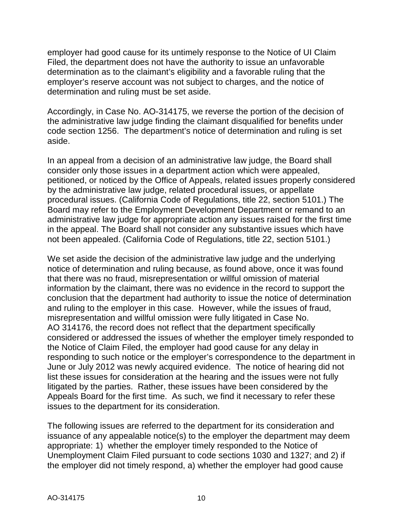employer had good cause for its untimely response to the Notice of UI Claim Filed, the department does not have the authority to issue an unfavorable determination as to the claimant's eligibility and a favorable ruling that the employer's reserve account was not subject to charges, and the notice of determination and ruling must be set aside.

Accordingly, in Case No. AO-314175, we reverse the portion of the decision of the administrative law judge finding the claimant disqualified for benefits under code section 1256. The department's notice of determination and ruling is set aside.

In an appeal from a decision of an administrative law judge, the Board shall consider only those issues in a department action which were appealed, petitioned, or noticed by the Office of Appeals, related issues properly considered by the administrative law judge, related procedural issues, or appellate procedural issues. (California Code of Regulations, title 22, section 5101.) The Board may refer to the Employment Development Department or remand to an administrative law judge for appropriate action any issues raised for the first time in the appeal. The Board shall not consider any substantive issues which have not been appealed. (California Code of Regulations, title 22, section 5101.)

We set aside the decision of the administrative law judge and the underlying notice of determination and ruling because, as found above, once it was found that there was no fraud, misrepresentation or willful omission of material information by the claimant, there was no evidence in the record to support the conclusion that the department had authority to issue the notice of determination and ruling to the employer in this case. However, while the issues of fraud, misrepresentation and willful omission were fully litigated in Case No. AO 314176, the record does not reflect that the department specifically considered or addressed the issues of whether the employer timely responded to the Notice of Claim Filed, the employer had good cause for any delay in responding to such notice or the employer's correspondence to the department in June or July 2012 was newly acquired evidence. The notice of hearing did not list these issues for consideration at the hearing and the issues were not fully litigated by the parties. Rather, these issues have been considered by the Appeals Board for the first time. As such, we find it necessary to refer these issues to the department for its consideration.

The following issues are referred to the department for its consideration and issuance of any appealable notice(s) to the employer the department may deem appropriate: 1) whether the employer timely responded to the Notice of Unemployment Claim Filed pursuant to code sections 1030 and 1327; and 2) if the employer did not timely respond, a) whether the employer had good cause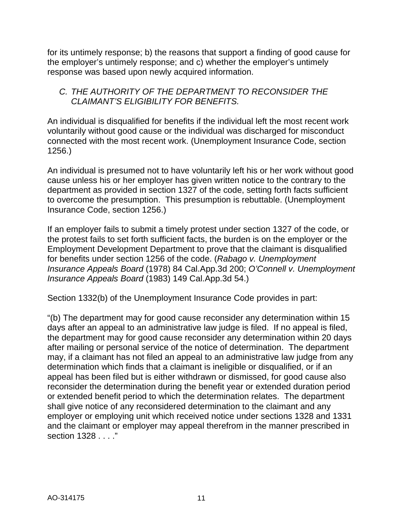for its untimely response; b) the reasons that support a finding of good cause for the employer's untimely response; and c) whether the employer's untimely response was based upon newly acquired information.

### *C. THE AUTHORITY OF THE DEPARTMENT TO RECONSIDER THE CLAIMANT'S ELIGIBILITY FOR BENEFITS.*

An individual is disqualified for benefits if the individual left the most recent work voluntarily without good cause or the individual was discharged for misconduct connected with the most recent work. (Unemployment Insurance Code, section 1256.)

An individual is presumed not to have voluntarily left his or her work without good cause unless his or her employer has given written notice to the contrary to the department as provided in section 1327 of the code, setting forth facts sufficient to overcome the presumption. This presumption is rebuttable. (Unemployment Insurance Code, section 1256.)

If an employer fails to submit a timely protest under section 1327 of the code, or the protest fails to set forth sufficient facts, the burden is on the employer or the Employment Development Department to prove that the claimant is disqualified for benefits under section 1256 of the code. (*Rabago v. Unemployment Insurance Appeals Board* (1978) 84 Cal.App.3d 200; *O'Connell v. Unemployment Insurance Appeals Board* (1983) 149 Cal.App.3d 54.)

Section 1332(b) of the Unemployment Insurance Code provides in part:

"(b) The department may for good cause reconsider any determination within 15 days after an appeal to an administrative law judge is filed. If no appeal is filed, the department may for good cause reconsider any determination within 20 days after mailing or personal service of the notice of determination. The department may, if a claimant has not filed an appeal to an administrative law judge from any determination which finds that a claimant is ineligible or disqualified, or if an appeal has been filed but is either withdrawn or dismissed, for good cause also reconsider the determination during the benefit year or extended duration period or extended benefit period to which the determination relates. The department shall give notice of any reconsidered determination to the claimant and any employer or employing unit which received notice under sections 1328 and 1331 and the claimant or employer may appeal therefrom in the manner prescribed in section 1328 . . . ."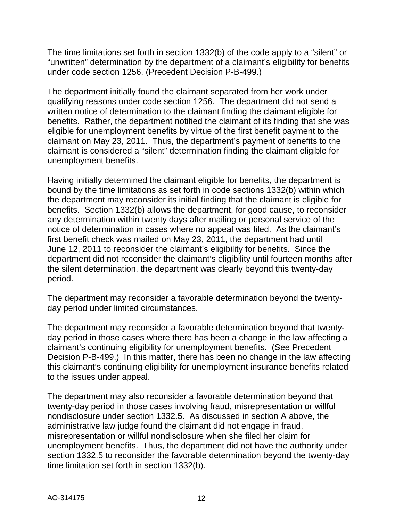The time limitations set forth in section 1332(b) of the code apply to a "silent" or "unwritten" determination by the department of a claimant's eligibility for benefits under code section 1256. (Precedent Decision P-B-499.)

The department initially found the claimant separated from her work under qualifying reasons under code section 1256. The department did not send a written notice of determination to the claimant finding the claimant eligible for benefits. Rather, the department notified the claimant of its finding that she was eligible for unemployment benefits by virtue of the first benefit payment to the claimant on May 23, 2011. Thus, the department's payment of benefits to the claimant is considered a "silent" determination finding the claimant eligible for unemployment benefits.

Having initially determined the claimant eligible for benefits, the department is bound by the time limitations as set forth in code sections 1332(b) within which the department may reconsider its initial finding that the claimant is eligible for benefits. Section 1332(b) allows the department, for good cause, to reconsider any determination within twenty days after mailing or personal service of the notice of determination in cases where no appeal was filed. As the claimant's first benefit check was mailed on May 23, 2011, the department had until June 12, 2011 to reconsider the claimant's eligibility for benefits. Since the department did not reconsider the claimant's eligibility until fourteen months after the silent determination, the department was clearly beyond this twenty-day period.

The department may reconsider a favorable determination beyond the twentyday period under limited circumstances.

The department may reconsider a favorable determination beyond that twentyday period in those cases where there has been a change in the law affecting a claimant's continuing eligibility for unemployment benefits. (See Precedent Decision P-B-499.) In this matter, there has been no change in the law affecting this claimant's continuing eligibility for unemployment insurance benefits related to the issues under appeal.

The department may also reconsider a favorable determination beyond that twenty-day period in those cases involving fraud, misrepresentation or willful nondisclosure under section 1332.5. As discussed in section A above, the administrative law judge found the claimant did not engage in fraud, misrepresentation or willful nondisclosure when she filed her claim for unemployment benefits. Thus, the department did not have the authority under section 1332.5 to reconsider the favorable determination beyond the twenty-day time limitation set forth in section 1332(b).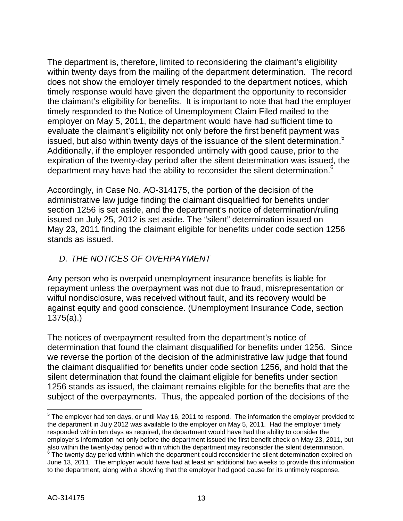The department is, therefore, limited to reconsidering the claimant's eligibility within twenty days from the mailing of the department determination. The record does not show the employer timely responded to the department notices, which timely response would have given the department the opportunity to reconsider the claimant's eligibility for benefits. It is important to note that had the employer timely responded to the Notice of Unemployment Claim Filed mailed to the employer on May 5, 2011, the department would have had sufficient time to evaluate the claimant's eligibility not only before the first benefit payment was issued, but also within twenty days of the issuance of the silent determination.<sup>5</sup> Additionally, if the employer responded untimely with good cause, prior to the expiration of the twenty-day period after the silent determination was issued, the department may have had the ability to reconsider the silent determination.<sup>6</sup>

Accordingly, in Case No. AO-314175, the portion of the decision of the administrative law judge finding the claimant disqualified for benefits under section 1256 is set aside, and the department's notice of determination/ruling issued on July 25, 2012 is set aside. The "silent" determination issued on May 23, 2011 finding the claimant eligible for benefits under code section 1256 stands as issued.

## *D. THE NOTICES OF OVERPAYMENT*

Any person who is overpaid unemployment insurance benefits is liable for repayment unless the overpayment was not due to fraud, misrepresentation or wilful nondisclosure, was received without fault, and its recovery would be against equity and good conscience. (Unemployment Insurance Code, section 1375(a).)

The notices of overpayment resulted from the department's notice of determination that found the claimant disqualified for benefits under 1256. Since we reverse the portion of the decision of the administrative law judge that found the claimant disqualified for benefits under code section 1256, and hold that the silent determination that found the claimant eligible for benefits under section 1256 stands as issued, the claimant remains eligible for the benefits that are the subject of the overpayments. Thus, the appealed portion of the decisions of the

<sup>&</sup>lt;sup>5</sup> The employer had ten days, or until May 16, 2011 to respond. The information the employer provided to the department in July 2012 was available to the employer on May 5, 2011. Had the employer timely responded within ten days as required, the department would have had the ability to consider the employer's information not only before the department issued the first benefit check on May 23, 2011, but also within the twenty-day period within which the department may reconsider the silent determination.  $6$  The twenty day period within which the department could reconsider the silent determination expired on June 13, 2011. The employer would have had at least an additional two weeks to provide this information to the department, along with a showing that the employer had good cause for its untimely response.